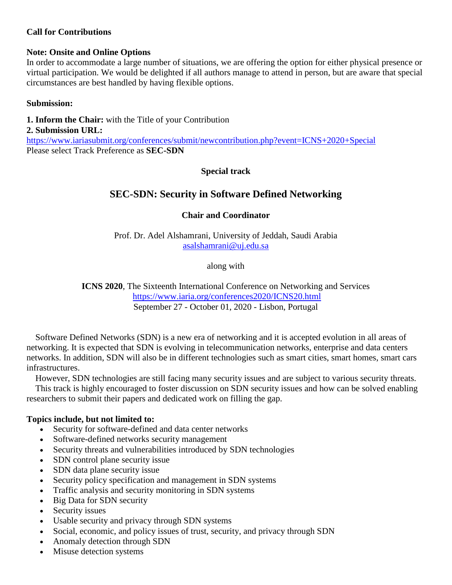# **Call for Contributions**

# **Note: Onsite and Online Options**

In order to accommodate a large number of situations, we are offering the option for either physical presence or virtual participation. We would be delighted if all authors manage to attend in person, but are aware that special circumstances are best handled by having flexible options.

# **Submission:**

**1. Inform the Chair:** with the Title of your Contribution

# **2. Submission URL:**

<https://www.iariasubmit.org/conferences/submit/newcontribution.php?event=ICNS+2020+Special> Please select Track Preference as **SEC-SDN**

# **Special track**

# **SEC-SDN: Security in Software Defined Networking**

# **Chair and Coordinator**

Prof. Dr. Adel Alshamrani, University of Jeddah, Saudi Arabia [asalshamrani@uj.edu.sa](mailto:asalshamrani@uj.edu.sa)

along with

**ICNS 2020**, The Sixteenth International Conference on Networking and Services <https://www.iaria.org/conferences2020/ICNS20.html> September 27 - October 01, 2020 - Lisbon, Portugal

Software Defined Networks (SDN) is a new era of networking and it is accepted evolution in all areas of networking. It is expected that SDN is evolving in telecommunication networks, enterprise and data centers networks. In addition, SDN will also be in different technologies such as smart cities, smart homes, smart cars infrastructures.

However, SDN technologies are still facing many security issues and are subject to various security threats. This track is highly encouraged to foster discussion on SDN security issues and how can be solved enabling researchers to submit their papers and dedicated work on filling the gap.

# **Topics include, but not limited to:**

- Security for software-defined and data center networks
- Software-defined networks security management
- Security threats and vulnerabilities introduced by SDN technologies
- SDN control plane security issue
- SDN data plane security issue
- Security policy specification and management in SDN systems
- Traffic analysis and security monitoring in SDN systems
- Big Data for SDN security
- Security issues
- Usable security and privacy through SDN systems
- Social, economic, and policy issues of trust, security, and privacy through SDN
- Anomaly detection through SDN
- Misuse detection systems